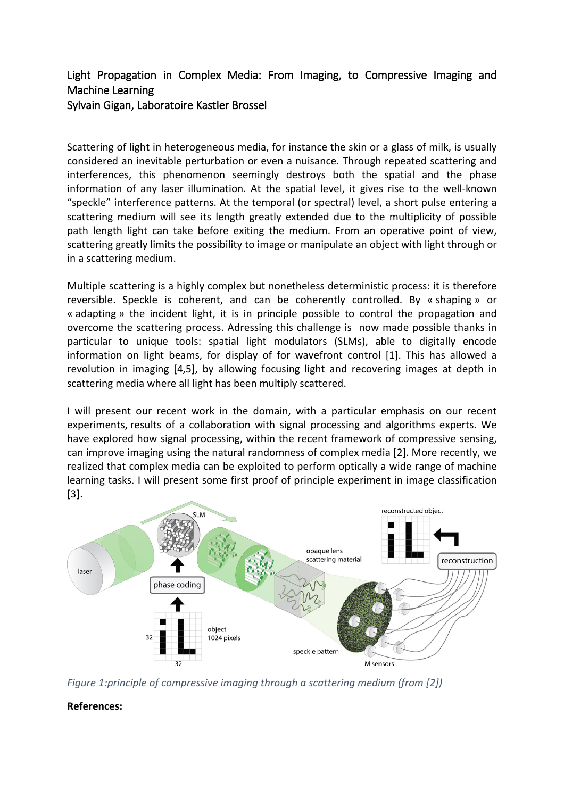## Light Propagation in Complex Media: From Imaging, to Compressive Imaging and Machine Learning Sylvain Gigan, Laboratoire Kastler Brossel

Scattering of light in heterogeneous media, for instance the skin or a glass of milk, is usually considered an inevitable perturbation or even a nuisance. Through repeated scattering and interferences, this phenomenon seemingly destroys both the spatial and the phase information of any laser illumination. At the spatial level, it gives rise to the well-known "speckle" interference patterns. At the temporal (or spectral) level, a short pulse entering a scattering medium will see its length greatly extended due to the multiplicity of possible path length light can take before exiting the medium. From an operative point of view, scattering greatly limits the possibility to image or manipulate an object with light through or in a scattering medium.

Multiple scattering is a highly complex but nonetheless deterministic process: it is therefore reversible. Speckle is coherent, and can be coherently controlled. By « shaping » or « adapting » the incident light, it is in principle possible to control the propagation and overcome the scattering process. Adressing this challenge is now made possible thanks in particular to unique tools: spatial light modulators (SLMs), able to digitally encode information on light beams, for display of for wavefront control [1]. This has allowed a revolution in imaging [4,5], by allowing focusing light and recovering images at depth in scattering media where all light has been multiply scattered.

I will present our recent work in the domain, with a particular emphasis on our recent experiments, results of a collaboration with signal processing and algorithms experts. We have explored how signal processing, within the recent framework of compressive sensing, can improve imaging using the natural randomness of complex media [2]. More recently, we realized that complex media can be exploited to perform optically a wide range of machine learning tasks. I will present some first proof of principle experiment in image classification [3].



*Figure 1:principle of compressive imaging through a scattering medium (from [2])*

## **References:**